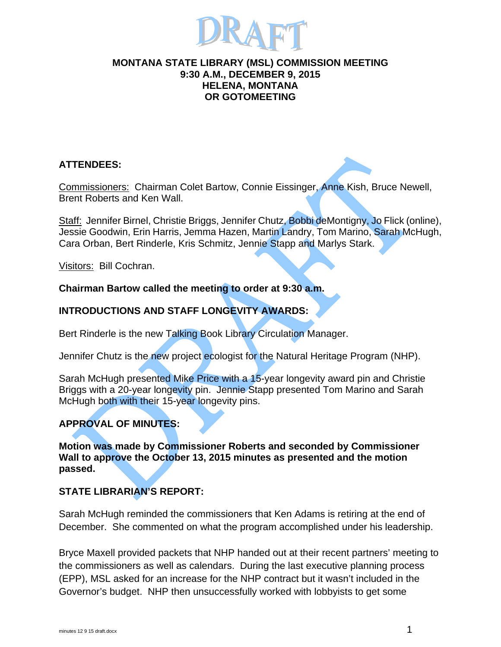

#### **MONTANA STATE LIBRARY (MSL) COMMISSION MEETING 9:30 A.M., DECEMBER 9, 2015 HELENA, MONTANA OR GOTOMEETING**

# **ATTENDEES:**

Commissioners: Chairman Colet Bartow, Connie Eissinger, Anne Kish, Bruce Newell, Brent Roberts and Ken Wall.

Staff: Jennifer Birnel, Christie Briggs, Jennifer Chutz, Bobbi deMontigny, Jo Flick (online), Jessie Goodwin, Erin Harris, Jemma Hazen, Martin Landry, Tom Marino, Sarah McHugh, Cara Orban, Bert Rinderle, Kris Schmitz, Jennie Stapp and Marlys Stark.

Visitors: Bill Cochran.

## **Chairman Bartow called the meeting to order at 9:30 a.m.**

# **INTRODUCTIONS AND STAFF LONGEVITY AWARDS:**

Bert Rinderle is the new Talking Book Library Circulation Manager.

Jennifer Chutz is the new project ecologist for the Natural Heritage Program (NHP).

Sarah McHugh presented Mike Price with a 15-year longevity award pin and Christie Briggs with a 20-year longevity pin. Jennie Stapp presented Tom Marino and Sarah McHugh both with their 15-year longevity pins.

# **APPROVAL OF MINUTES:**

**Motion was made by Commissioner Roberts and seconded by Commissioner Wall to approve the October 13, 2015 minutes as presented and the motion passed.** 

# **STATE LIBRARIAN'S REPORT:**

Sarah McHugh reminded the commissioners that Ken Adams is retiring at the end of December. She commented on what the program accomplished under his leadership.

Bryce Maxell provided packets that NHP handed out at their recent partners' meeting to the commissioners as well as calendars. During the last executive planning process (EPP), MSL asked for an increase for the NHP contract but it wasn't included in the Governor's budget. NHP then unsuccessfully worked with lobbyists to get some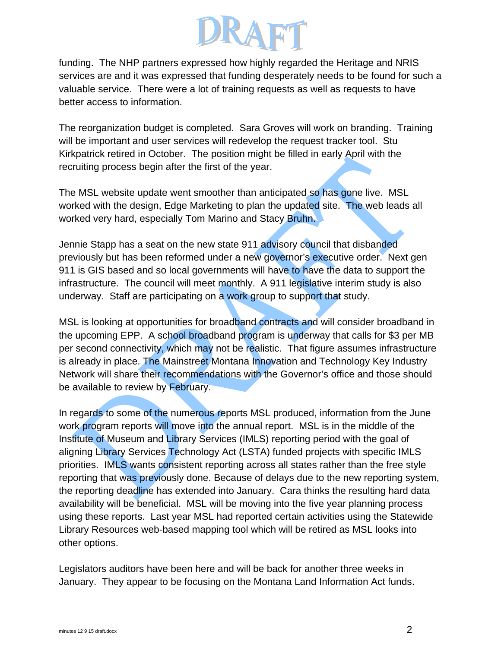

funding. The NHP partners expressed how highly regarded the Heritage and NRIS services are and it was expressed that funding desperately needs to be found for such a valuable service. There were a lot of training requests as well as requests to have better access to information.

The reorganization budget is completed. Sara Groves will work on branding. Training will be important and user services will redevelop the request tracker tool. Stu Kirkpatrick retired in October. The position might be filled in early April with the recruiting process begin after the first of the year.

The MSL website update went smoother than anticipated so has gone live. MSL worked with the design, Edge Marketing to plan the updated site. The web leads all worked very hard, especially Tom Marino and Stacy Bruhn.

Jennie Stapp has a seat on the new state 911 advisory council that disbanded previously but has been reformed under a new governor's executive order. Next gen 911 is GIS based and so local governments will have to have the data to support the infrastructure. The council will meet monthly. A 911 legislative interim study is also underway. Staff are participating on a work group to support that study.

MSL is looking at opportunities for broadband contracts and will consider broadband in the upcoming EPP. A school broadband program is underway that calls for \$3 per MB per second connectivity, which may not be realistic. That figure assumes infrastructure is already in place. The Mainstreet Montana Innovation and Technology Key Industry Network will share their recommendations with the Governor's office and those should be available to review by February.

In regards to some of the numerous reports MSL produced, information from the June work program reports will move into the annual report. MSL is in the middle of the Institute of Museum and Library Services (IMLS) reporting period with the goal of aligning Library Services Technology Act (LSTA) funded projects with specific IMLS priorities. IMLS wants consistent reporting across all states rather than the free style reporting that was previously done. Because of delays due to the new reporting system, the reporting deadline has extended into January. Cara thinks the resulting hard data availability will be beneficial. MSL will be moving into the five year planning process using these reports. Last year MSL had reported certain activities using the Statewide Library Resources web-based mapping tool which will be retired as MSL looks into other options.

Legislators auditors have been here and will be back for another three weeks in January. They appear to be focusing on the Montana Land Information Act funds.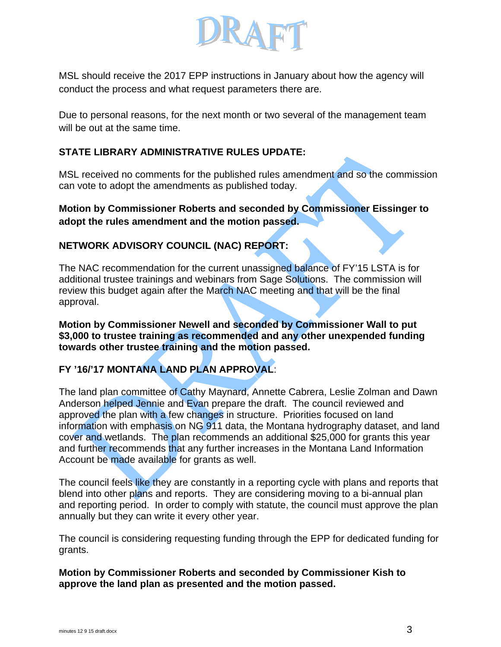

MSL should receive the 2017 EPP instructions in January about how the agency will conduct the process and what request parameters there are.

Due to personal reasons, for the next month or two several of the management team will be out at the same time.

# **STATE LIBRARY ADMINISTRATIVE RULES UPDATE:**

MSL received no comments for the published rules amendment and so the commission can vote to adopt the amendments as published today.

## **Motion by Commissioner Roberts and seconded by Commissioner Eissinger to adopt the rules amendment and the motion passed.**

# **NETWORK ADVISORY COUNCIL (NAC) REPORT:**

The NAC recommendation for the current unassigned balance of FY'15 LSTA is for additional trustee trainings and webinars from Sage Solutions. The commission will review this budget again after the March NAC meeting and that will be the final approval.

**Motion by Commissioner Newell and seconded by Commissioner Wall to put \$3,000 to trustee training as recommended and any other unexpended funding towards other trustee training and the motion passed.**

# **FY '16/'17 MONTANA LAND PLAN APPROVAL**:

The land plan committee of Cathy Maynard, Annette Cabrera, Leslie Zolman and Dawn Anderson helped Jennie and Evan prepare the draft. The council reviewed and approved the plan with a few changes in structure. Priorities focused on land information with emphasis on NG 911 data, the Montana hydrography dataset, and land cover and wetlands. The plan recommends an additional \$25,000 for grants this year and further recommends that any further increases in the Montana Land Information Account be made available for grants as well.

The council feels like they are constantly in a reporting cycle with plans and reports that blend into other plans and reports. They are considering moving to a bi-annual plan and reporting period. In order to comply with statute, the council must approve the plan annually but they can write it every other year.

The council is considering requesting funding through the EPP for dedicated funding for grants.

#### **Motion by Commissioner Roberts and seconded by Commissioner Kish to approve the land plan as presented and the motion passed.**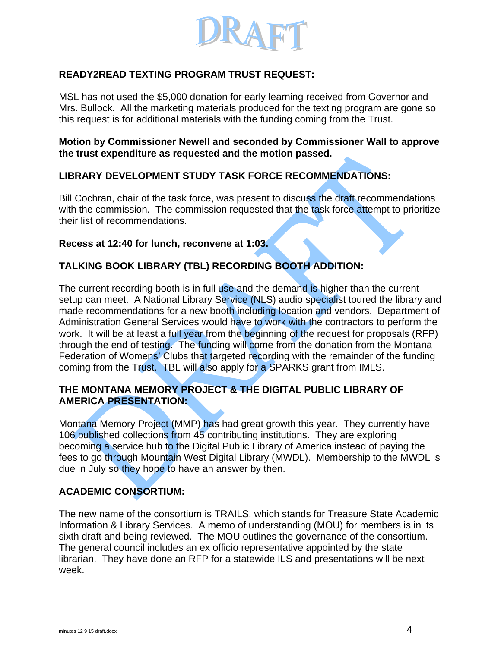

# **READY2READ TEXTING PROGRAM TRUST REQUEST:**

MSL has not used the \$5,000 donation for early learning received from Governor and Mrs. Bullock. All the marketing materials produced for the texting program are gone so this request is for additional materials with the funding coming from the Trust.

**Motion by Commissioner Newell and seconded by Commissioner Wall to approve the trust expenditure as requested and the motion passed.** 

## **LIBRARY DEVELOPMENT STUDY TASK FORCE RECOMMENDATIONS:**

Bill Cochran, chair of the task force, was present to discuss the draft recommendations with the commission. The commission requested that the task force attempt to prioritize their list of recommendations.

#### **Recess at 12:40 for lunch, reconvene at 1:03.**

# **TALKING BOOK LIBRARY (TBL) RECORDING BOOTH ADDITION:**

The current recording booth is in full use and the demand is higher than the current setup can meet. A National Library Service (NLS) audio specialist toured the library and made recommendations for a new booth including location and vendors. Department of Administration General Services would have to work with the contractors to perform the work. It will be at least a full year from the beginning of the request for proposals (RFP) through the end of testing. The funding will come from the donation from the Montana Federation of Womens' Clubs that targeted recording with the remainder of the funding coming from the Trust. TBL will also apply for a SPARKS grant from IMLS.

## **THE MONTANA MEMORY PROJECT & THE DIGITAL PUBLIC LIBRARY OF AMERICA PRESENTATION:**

Montana Memory Project (MMP) has had great growth this year. They currently have 106 published collections from 45 contributing institutions. They are exploring becoming a service hub to the Digital Public Library of America instead of paying the fees to go through Mountain West Digital Library (MWDL). Membership to the MWDL is due in July so they hope to have an answer by then.

## **ACADEMIC CONSORTIUM:**

The new name of the consortium is TRAILS, which stands for Treasure State Academic Information & Library Services. A memo of understanding (MOU) for members is in its sixth draft and being reviewed. The MOU outlines the governance of the consortium. The general council includes an ex officio representative appointed by the state librarian. They have done an RFP for a statewide ILS and presentations will be next week.